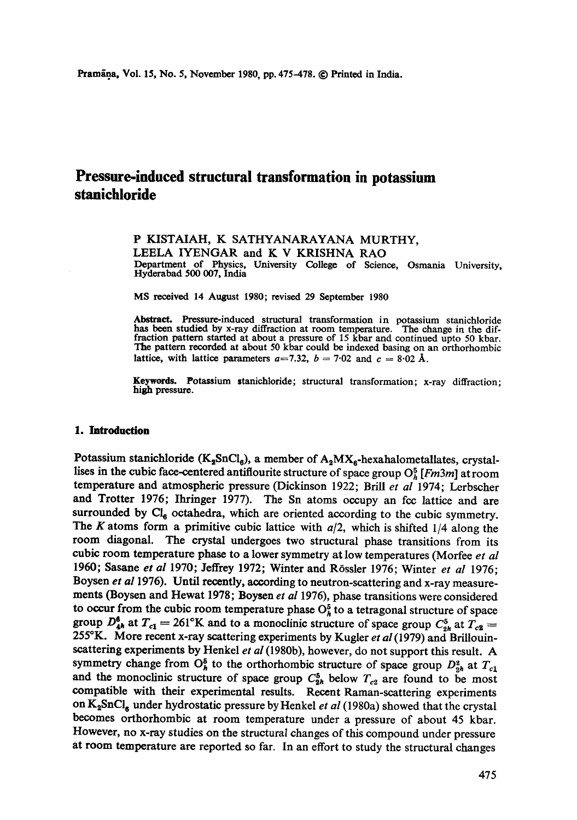# **Pressure-induced structural transformation in potassium stanichloride**

## P KISTAIAH, K SATHYANARAYANA MURTHY, LEELA IYENGAR and K V KRISHNA RAO Department of Physics, University College of Science, Osmania University,

Hyderabad 500 007, India

MS received 14 August 1980; revised 29 September 1980

Abstract. Pressure-induced structural transformation in potassium stanichloride has been studied by x-ray diffraction at room temperature. The change in the dif-fraction pattern started at about a pressure of 15 kbar and continued upto 50 kbar. The pattern recorded at about 50 kbar could be indexed basing on an orthorhombic lattice, with lattice parameters  $a=7.32$ ,  $b=7.02$  and  $c=8.02$  Å.

**Keywords.** Potassium stanichloride; structural transformation; x-ray diffraction; high pressure.

#### **1. Introduction**

Potassium stanichloride (K<sub>2</sub>SnCl<sub>6</sub>), a member of  $A_2MX_6$ -hexahalometallates, crystallises in the cubic face-centered antiflourite structure of space group  $O_h^5$  [*Fm3m*] at room temperature and atmospheric pressure (Dickinson 1922; Brill *et al* 1974; Lerbscher and Trotter 1976; Ihringer 1977). The Sn atoms occupy an fcc lattice and are surrounded by  $\text{Cl}_6$  octahedra, which are oriented according to the cubic symmetry. The K atoms form a primitive cubic lattice with *a/2,* which is shifted 1/4 along the room diagonal. The crystal undergoes two structural phase transitions from its cubic room temperature phase to a lower symmetry at low temperatures (Morfee *et al*  1960; Sasane *et al* 1970; Jeffrey 1972; Winter and R6ssler 1976; Winter *et al* 1976; Boysen *et al* 1976). Until recently, according to neutron-scattering and x-ray measurements (Boysen and Hewat 1978; Boysen *et al* 1976), phase transitions were considered to occur from the cubic room temperature phase  $O_h^5$  to a tetragonal structure of space group  $D_{4h}^6$  at  $T_{c1} = 261^{\circ}\text{K}$  and to a monoclinic structure of space group  $C_{2h}^5$  at  $T_{c2} =$ 255°K. More recent x-ray scattering experiments by Kugler *et al* (1979) and Brillouinscattering experiments by Henkel *et al* (1980b), however, do not support this result. A symmetry change from  $O_h^5$  to the orthorhombic structure of space group  $D_{2h}^3$  at  $T_{c1}$ and the monoclinic structure of space group  $C_{2h}^5$  below  $T_{c2}$  are found to be most compatible with their experimental results. Recent Raman-scattering experiments on K<sub>2</sub>SnCl<sub>6</sub> under hydrostatic pressure by Henkel *et al* (1980a) showed that the crystal becomes orthorhombic at room temperature under a pressure of about 45 kbar. However, no x-ray studies on the structural changes of this compound under pressure at room temperature are reported so far. In an effort to study the structural changes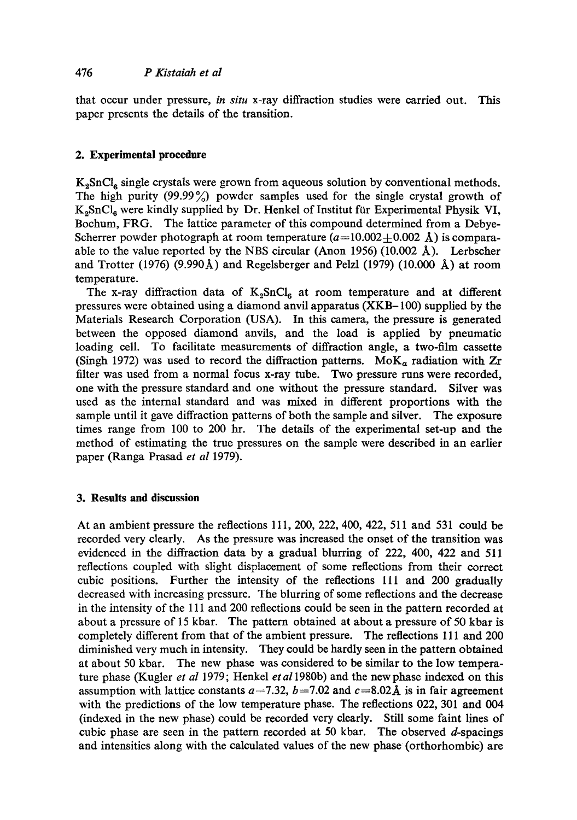that occur under pressure, *in situ* x-ray diffraction studies were carried out. This paper presents the details of the transition.

## **2. Experimental procedure**

 $K_2$ SnCl<sub>6</sub> single crystals were grown from aqueous solution by conventional methods. The high purity (99.99%) powder samples used for the single crystal growth of K<sub>2</sub>SnCl<sub>6</sub> were kindly supplied by Dr. Henkel of Institut für Experimental Physik VI, Bochum, FRG. The lattice parameter of this compound determined from a Debye-Scherrer powder photograph at room temperature  $(a=10.002+0.002 \text{ Å})$  is comparaable to the value reported by the NBS circular (Anon 1956) (10.002 A). Lerbscher and Trotter (1976) (9.990Å) and Regelsberger and Pelzl (1979) (10.000 Å) at room temperature.

The x-ray diffraction data of  $K_2$ SnCl<sub>6</sub> at room temperature and at different pressures were obtained using a diamond anvil apparatus (XKB- 100) supplied by the Materials Research Corporation (USA). In this camera, the pressure is generated between the opposed diamond anvils, and the load is applied by pneumatic loading cell. To facilitate measurements of diffraction angle, a two-film cassette (Singh 1972) was used to record the diffraction patterns.  $MoK_a$  radiation with  $Zr$ filter was used from a normal focus x-ray tube. Two pressure runs were recorded, one with the pressure standard and one without the pressure standard. Silver was used as the internal standard and was mixed in different proportions with the sample until it gave diffraction patterns of both the sample and silver. The exposure times range from 100 to 200 hr. The details of the experimental set-up and the method of estimating the true pressures on the sample were described in an earlier paper (Ranga Prasad *et al* 1979).

## **3. Results and discussion**

At an ambient pressure the reflections 111,200, 222, 400, 422, 511 and 531 could be recorded very dearly. As the pressure was increased the onset of the transition was evidenced in the diffraction data by a gradual blurring of 222, 400, 422 and 511 reflections coupled with slight displacement of some reflections from their correct cubic positions. Further the intensity of the reflections 111 and 200 gradually decreased with increasing pressure. The blurring of some reflections and the decrease in the intensity of the 111 and 200 reflections could be seen in the pattern recorded at about a pressure of 15 kbar. The pattern obtained at about a pressure of 50 kbar is completely different from that of the ambient pressure. The reflections 111 and 200 diminished very much in intensity. They could be hardly seen in the pattern obtained at about 50 kbar. The new phase was considered to be similar to the low temperature phase (Kugler *et al* 1979; Henkel *et a11980b)* and the new phase indexed on this assumption with lattice constants  $a=7.32$ ,  $b=7.02$  and  $c=8.02$  Å is in fair agreement with the predictions of the low temperature phase. The reflections 022, 301 and 004 (indexed in the new phase) could be recorded very clearly. Still some faint lines of cubic phase are seen in the pattern recorded at 50 kbar. The observed  $d$ -spacings and intensities along with the calculated values of the new phase (orthorhombic) are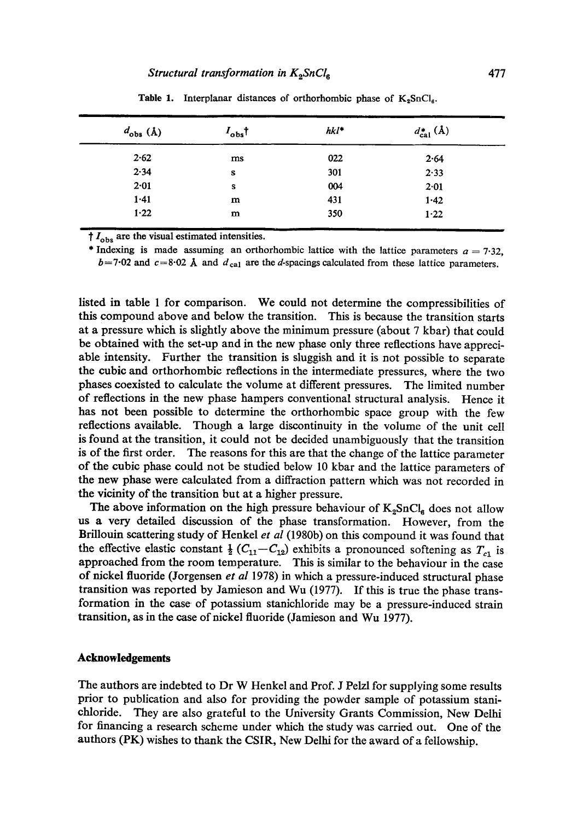| $I_{\sf obs} \dagger$ | $hkl^*$ | $d_{\rm cal}^*$ (Å) |  |
|-----------------------|---------|---------------------|--|
| ms                    | 022     | 2.64                |  |
| s                     | 301     | 2.33                |  |
| s                     | 004     | 2.01                |  |
| m                     | 431     | 1.42                |  |
| m                     | 350     | $1 - 22$            |  |
|                       |         |                     |  |

Table 1. Interplanar distances of orthorhombic phase of  $K_2SnCl_6$ .

 $t_{obs}$  are the visual estimated intensities.

\* Indexing is made assuming an orthorhombic lattice with the lattice parameters  $a = 7.32$ ,  $b=7.02$  and  $c=8.02$  Å and  $d_{\text{cal}}$  are the d-spacings calculated from these lattice parameters.

listed in table 1 for comparison. We could not determine the compressibilities of this compound above and below the transition. This is because the transition starts at a pressure which is slightly above the minimum pressure (about 7 kbar) that could be obtained with the set-up and in the new phase only three reflections have appreciable intensity. Further the transition is sluggish and it is not possible to separate the cubic and orthorhombic reflections in the intermediate pressures, where the two phases coexisted to calculate the volume at different pressures. The limited number of reflections in the new phase hampers conventional structural analysis. Hence it has not been possible to determine the orthorhombic space group with the few reflections available. Though a large discontinuity in the volume of the unit cell is found at the transition, it could not be decided unambiguously that the transition is of the first order. The reasons for this are that the change of the lattice parameter of the cubic phase could not be studied below 10 kbar and the lattice parameters of the new phase were calculated from a diffraction pattern which was not recorded in the vicinity of the transition but at a higher pressure.

The above information on the high pressure behaviour of  $K_2SnCl_6$  does not allow us a very detailed discussion of the phase transformation. However, from the Brillouin scattering study of Henkel *et al* (1980b) on this compound it was found that the effective elastic constant  $\frac{1}{2}$  (C<sub>11</sub>-C<sub>12</sub>) exhibits a pronounced softening as T<sub>c1</sub> is approached from the room temperature. This is similar to the behaviour in the case of nickel fluoride (Jorgensen *et al* 1978) in which a pressure-induced structural phase transition was reported by Jamieson and Wu (1977). If this is true the phase transformation in the case of potassium stanichloride may be a pressure-induced strain transition, as in the case of nickel fluoride (Jamieson and Wu 1977).

### **Acknowledgements**

The authors are indebted to Dr W Henkel and Prof. J Pelzl for supplying some results prior to publication and also for providing the powder sample of potassium stanichloride. They are also grateful to the University Grants Commission, New Delhi for financing a research scheme under which the study was carried out. One of the authors (PK) wishes to thank the CSIR, New Delhi for the award of a fellowship.